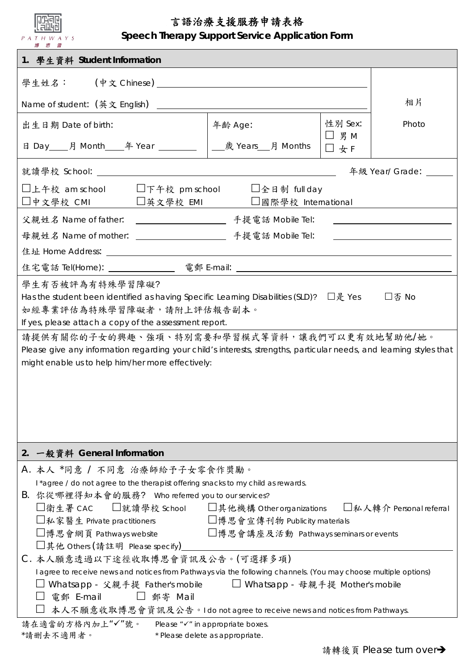| 言語治療支援服務申請表格<br>Speech Therapy Support Service Application Form<br>PATHWAYS<br>博思曾                                                                                                                                                                                                           |         |                   |                                                                                                                       |  |  |  |
|----------------------------------------------------------------------------------------------------------------------------------------------------------------------------------------------------------------------------------------------------------------------------------------------|---------|-------------------|-----------------------------------------------------------------------------------------------------------------------|--|--|--|
| 1. 學生資料 Student Information                                                                                                                                                                                                                                                                  |         |                   |                                                                                                                       |  |  |  |
|                                                                                                                                                                                                                                                                                              |         |                   |                                                                                                                       |  |  |  |
|                                                                                                                                                                                                                                                                                              |         |                   | 相片                                                                                                                    |  |  |  |
| 出生日期 Date of birth:                                                                                                                                                                                                                                                                          | 年齢 Age: | 性别 Sex:           | Photo                                                                                                                 |  |  |  |
| 日 Day____月 Month_____年 Year ___________  _________________月 Months                                                                                                                                                                                                                           |         | $\Box$ 男 M<br>□女F |                                                                                                                       |  |  |  |
|                                                                                                                                                                                                                                                                                              |         |                   | 年級 Year/ Grade: _____                                                                                                 |  |  |  |
| □上午校 am school □下午校 pm school □全日制 full day<br>□中文學校 CMI □英文學校 EMI □國際學校 International                                                                                                                                                                                                       |         |                   |                                                                                                                       |  |  |  |
|                                                                                                                                                                                                                                                                                              |         |                   | <u> 1980 - Andrea Aonaichte ann an t-Aonaichte ann an t-Aonaichte ann an t-Aonaichte ann an t-Aonaichte ann an t-</u> |  |  |  |
|                                                                                                                                                                                                                                                                                              |         |                   |                                                                                                                       |  |  |  |
|                                                                                                                                                                                                                                                                                              |         |                   |                                                                                                                       |  |  |  |
|                                                                                                                                                                                                                                                                                              |         |                   |                                                                                                                       |  |  |  |
| If yes, please attach a copy of the assessment report.<br>請提供有關你的子女的興趣、強項、特別需要和學習模式等資料,讓我們可以更有效地幫助他/她。<br>Please give any information regarding your child's interests, strengths, particular needs, and learning styles that<br>might enable us to help him/her more effectively:           |         |                   |                                                                                                                       |  |  |  |
| 2. 一般資料 General Information                                                                                                                                                                                                                                                                  |         |                   |                                                                                                                       |  |  |  |
| A. 本人 *同意 / 不同意 治療師給予子女零食作獎勵。                                                                                                                                                                                                                                                                |         |                   |                                                                                                                       |  |  |  |
| I*agree / do not agree to the therapist offering snacks to my child as rewards.                                                                                                                                                                                                              |         |                   |                                                                                                                       |  |  |  |
| B. 你從哪裡得知本會的服務? Who referred you to our services?<br>□衛生署 CAC  □就讀學校 School  □其他機構 Other organizations  □私人轉介 Personal referral                                                                                                                                                              |         |                   |                                                                                                                       |  |  |  |
| □私家醫生 Private practitioners □博思會宣傳刊物 Publicity materials                                                                                                                                                                                                                                     |         |                   |                                                                                                                       |  |  |  |
| □博思會網頁 Pathways website □博思會講座及活動 Pathways seminars or events                                                                                                                                                                                                                                |         |                   |                                                                                                                       |  |  |  |
| □其他 Others (請註明 Please specify)______<br>C. 本人願意透過以下途徑收取博思會資訊及公告。(可選擇多項)                                                                                                                                                                                                                     |         |                   |                                                                                                                       |  |  |  |
| I agree to receive news and notices from Pathways via the following channels. (You may choose multiple options)<br>□ Whatsapp - 父親手提 Father's mobile □ □ Whatsapp - 母親手提 Mother's mobile<br>電郵 E-mail │ 郵寄 Mail<br>本人不願意收取博思會資訊及公告。I do not agree to receive news and notices from Pathways. |         |                   |                                                                                                                       |  |  |  |
| 請在適當的方格內加上"√"號。 Please "√" in appropriate boxes.                                                                                                                                                                                                                                             |         |                   |                                                                                                                       |  |  |  |

| - 이제 가는 그 그는 말을 보니 거리 기다리 그는 그는 그의 그의 사람이 되었다. |  | in appropriate boxe.            |
|------------------------------------------------|--|---------------------------------|
| *請删去不適用者。                                      |  | * Please delete as appropriate. |